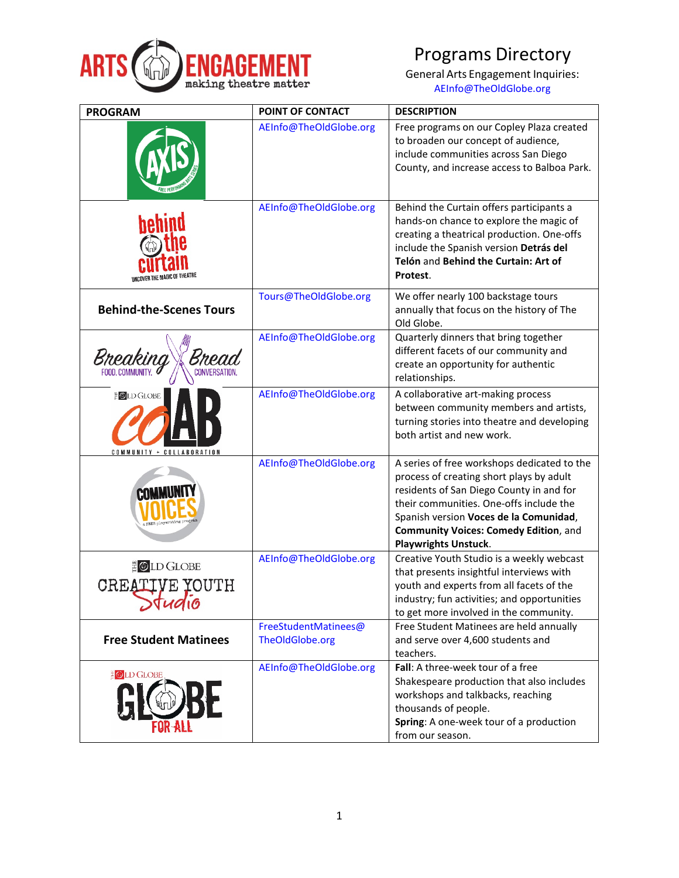

## Programs Directory

General Arts Engagement Inquiries: [AEInfo@TheOldGlobe.org](mailto:AEinfo@theoldglobe.org)

| <b>PROGRAM</b>                                                 | POINT OF CONTACT                        | <b>DESCRIPTION</b>                                                                                                                                                                                                                                                                                      |
|----------------------------------------------------------------|-----------------------------------------|---------------------------------------------------------------------------------------------------------------------------------------------------------------------------------------------------------------------------------------------------------------------------------------------------------|
|                                                                | AEInfo@TheOldGlobe.org                  | Free programs on our Copley Plaza created<br>to broaden our concept of audience,<br>include communities across San Diego<br>County, and increase access to Balboa Park.                                                                                                                                 |
| pepınc                                                         | AEInfo@TheOldGlobe.org                  | Behind the Curtain offers participants a<br>hands-on chance to explore the magic of<br>creating a theatrical production. One-offs<br>include the Spanish version Detrás del<br>Telón and Behind the Curtain: Art of<br>Protest.                                                                         |
| <b>Behind-the-Scenes Tours</b>                                 | Tours@TheOldGlobe.org                   | We offer nearly 100 backstage tours<br>annually that focus on the history of The<br>Old Globe.                                                                                                                                                                                                          |
| <b>CONVERSATION.</b>                                           | AEInfo@TheOldGlobe.org                  | Quarterly dinners that bring together<br>different facets of our community and<br>create an opportunity for authentic<br>relationships.                                                                                                                                                                 |
| <b>DLD GLOBE</b><br>COMMUNITY + COLLABORATION                  | AEInfo@TheOldGlobe.org                  | A collaborative art-making process<br>between community members and artists,<br>turning stories into theatre and developing<br>both artist and new work.                                                                                                                                                |
| <b>COMI</b>                                                    | AEInfo@TheOldGlobe.org                  | A series of free workshops dedicated to the<br>process of creating short plays by adult<br>residents of San Diego County in and for<br>their communities. One-offs include the<br>Spanish version Voces de la Comunidad,<br><b>Community Voices: Comedy Edition, and</b><br><b>Playwrights Unstuck.</b> |
| <b>D</b> LD GLOBE<br><b>VE YOUTH</b><br><b>CREAT</b><br>794910 | AEInfo@TheOldGlobe.org                  | Creative Youth Studio is a weekly webcast<br>that presents insightful interviews with<br>youth and experts from all facets of the<br>industry; fun activities; and opportunities<br>to get more involved in the community.                                                                              |
| <b>Free Student Matinees</b>                                   | FreeStudentMatinees@<br>TheOldGlobe.org | Free Student Matinees are held annually<br>and serve over 4,600 students and<br>teachers.                                                                                                                                                                                                               |
| <b>EOLD GLOBE</b>                                              | AEInfo@TheOldGlobe.org                  | Fall: A three-week tour of a free<br>Shakespeare production that also includes<br>workshops and talkbacks, reaching<br>thousands of people.<br>Spring: A one-week tour of a production<br>from our season.                                                                                              |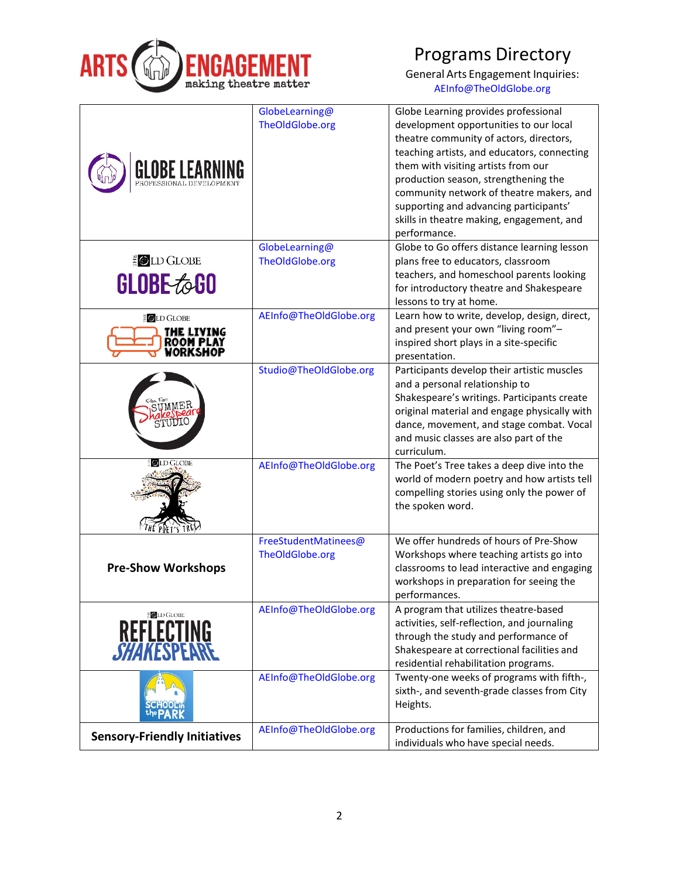

Programs Directory

General Arts Engagement Inquiries: [AEInfo@TheOldGlobe.org](mailto:AEinfo@theoldglobe.org)

|                                     | GlobeLearning@         | Globe Learning provides professional                                                 |
|-------------------------------------|------------------------|--------------------------------------------------------------------------------------|
|                                     | TheOldGlobe.org        | development opportunities to our local                                               |
|                                     |                        | theatre community of actors, directors,                                              |
|                                     |                        | teaching artists, and educators, connecting                                          |
| GLOBE LEAR                          |                        | them with visiting artists from our                                                  |
|                                     |                        | production season, strengthening the                                                 |
|                                     |                        | community network of theatre makers, and                                             |
|                                     |                        | supporting and advancing participants'                                               |
|                                     |                        | skills in theatre making, engagement, and                                            |
|                                     |                        | performance.                                                                         |
| E OLD GLOBE                         | GlobeLearning@         | Globe to Go offers distance learning lesson                                          |
|                                     | TheOldGlobe.org        | plans free to educators, classroom                                                   |
| <b>GLOBE to GO</b>                  |                        | teachers, and homeschool parents looking<br>for introductory theatre and Shakespeare |
|                                     |                        | lessons to try at home.                                                              |
|                                     | AEInfo@TheOldGlobe.org | Learn how to write, develop, design, direct,                                         |
| <b>EOLD GLOBE</b>                   |                        | and present your own "living room"-                                                  |
| THE LIVING                          |                        | inspired short plays in a site-specific                                              |
| ORKSHOP                             |                        | presentation.                                                                        |
|                                     | Studio@TheOldGlobe.org | Participants develop their artistic muscles                                          |
|                                     |                        | and a personal relationship to                                                       |
|                                     |                        | Shakespeare's writings. Participants create                                          |
|                                     |                        | original material and engage physically with                                         |
|                                     |                        | dance, movement, and stage combat. Vocal                                             |
|                                     |                        | and music classes are also part of the                                               |
|                                     |                        | curriculum.                                                                          |
| <b>OLD GLOBE</b>                    | AEInfo@TheOldGlobe.org | The Poet's Tree takes a deep dive into the                                           |
|                                     |                        | world of modern poetry and how artists tell                                          |
|                                     |                        | compelling stories using only the power of                                           |
|                                     |                        | the spoken word.                                                                     |
|                                     |                        |                                                                                      |
|                                     | FreeStudentMatinees@   | We offer hundreds of hours of Pre-Show                                               |
|                                     | TheOldGlobe.org        | Workshops where teaching artists go into                                             |
| <b>Pre-Show Workshops</b>           |                        | classrooms to lead interactive and engaging                                          |
|                                     |                        | workshops in preparation for seeing the                                              |
|                                     |                        | performances.                                                                        |
| <b>OLD GLOBE</b>                    | AEInfo@TheOldGlobe.org | A program that utilizes theatre-based                                                |
|                                     |                        | activities, self-reflection, and journaling                                          |
| REFLECTING<br><i>SHAKE</i> SPEARE   |                        | through the study and performance of<br>Shakespeare at correctional facilities and   |
|                                     |                        | residential rehabilitation programs.                                                 |
|                                     | AEInfo@TheOldGlobe.org | Twenty-one weeks of programs with fifth-,                                            |
|                                     |                        | sixth-, and seventh-grade classes from City                                          |
|                                     |                        | Heights.                                                                             |
|                                     |                        |                                                                                      |
| <b>Sensory-Friendly Initiatives</b> | AEInfo@TheOldGlobe.org | Productions for families, children, and                                              |
|                                     |                        | individuals who have special needs.                                                  |